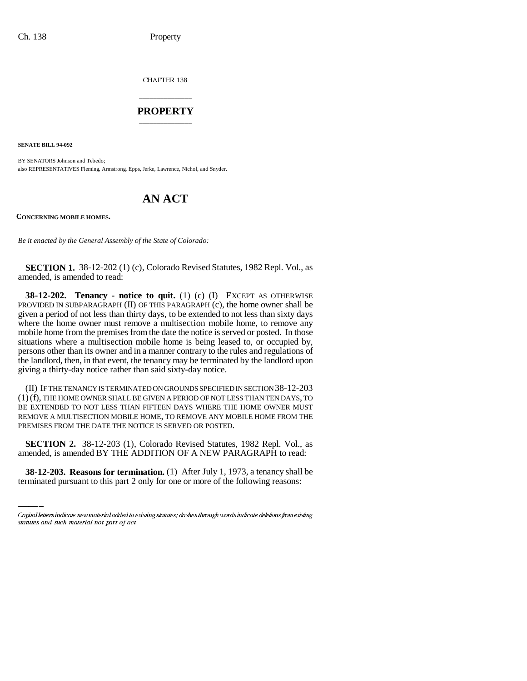CHAPTER 138

## \_\_\_\_\_\_\_\_\_\_\_\_\_\_\_ **PROPERTY** \_\_\_\_\_\_\_\_\_\_\_\_\_\_\_

**SENATE BILL 94-092**

BY SENATORS Johnson and Tebedo; also REPRESENTATIVES Fleming, Armstrong, Epps, Jerke, Lawrence, Nichol, and Snyder.

## **AN ACT**

**CONCERNING MOBILE HOMES.**

*Be it enacted by the General Assembly of the State of Colorado:*

**SECTION 1.** 38-12-202 (1) (c), Colorado Revised Statutes, 1982 Repl. Vol., as amended, is amended to read:

**38-12-202. Tenancy - notice to quit.** (1) (c) (I) EXCEPT AS OTHERWISE PROVIDED IN SUBPARAGRAPH (II) OF THIS PARAGRAPH (c), the home owner shall be given a period of not less than thirty days, to be extended to not less than sixty days where the home owner must remove a multisection mobile home, to remove any mobile home from the premises from the date the notice is served or posted. In those situations where a multisection mobile home is being leased to, or occupied by, persons other than its owner and in a manner contrary to the rules and regulations of the landlord, then, in that event, the tenancy may be terminated by the landlord upon giving a thirty-day notice rather than said sixty-day notice.

(II) IF THE TENANCY IS TERMINATED ON GROUNDS SPECIFIED IN SECTION 38-12-203 (1)(f), THE HOME OWNER SHALL BE GIVEN A PERIOD OF NOT LESS THAN TEN DAYS, TO BE EXTENDED TO NOT LESS THAN FIFTEEN DAYS WHERE THE HOME OWNER MUST REMOVE A MULTISECTION MOBILE HOME, TO REMOVE ANY MOBILE HOME FROM THE PREMISES FROM THE DATE THE NOTICE IS SERVED OR POSTED.

 **SECTION 2.** 38-12-203 (1), Colorado Revised Statutes, 1982 Repl. Vol., as amended, is amended BY THE ADDITION OF A NEW PARAGRAPH to read:

**38-12-203. Reasons for termination.** (1) After July 1, 1973, a tenancy shall be terminated pursuant to this part 2 only for one or more of the following reasons:

Capital letters indicate new material added to existing statutes; dashes through words indicate deletions from existing statutes and such material not part of act.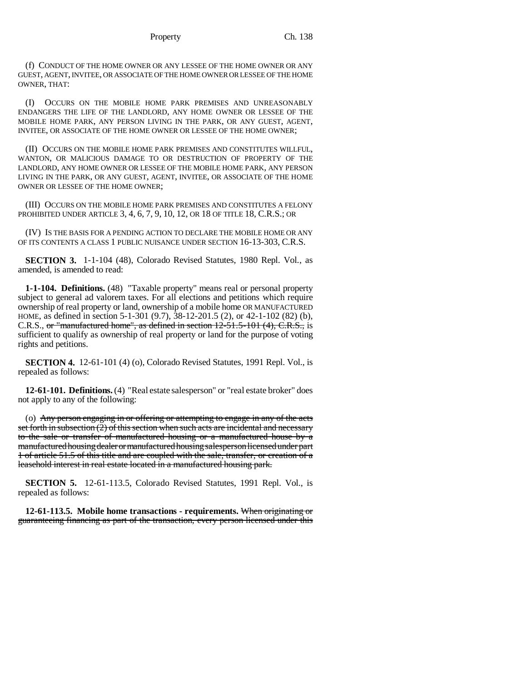(f) CONDUCT OF THE HOME OWNER OR ANY LESSEE OF THE HOME OWNER OR ANY GUEST, AGENT, INVITEE, OR ASSOCIATE OF THE HOME OWNER OR LESSEE OF THE HOME OWNER, THAT:

(I) OCCURS ON THE MOBILE HOME PARK PREMISES AND UNREASONABLY ENDANGERS THE LIFE OF THE LANDLORD, ANY HOME OWNER OR LESSEE OF THE MOBILE HOME PARK, ANY PERSON LIVING IN THE PARK, OR ANY GUEST, AGENT, INVITEE, OR ASSOCIATE OF THE HOME OWNER OR LESSEE OF THE HOME OWNER;

(II) OCCURS ON THE MOBILE HOME PARK PREMISES AND CONSTITUTES WILLFUL, WANTON, OR MALICIOUS DAMAGE TO OR DESTRUCTION OF PROPERTY OF THE LANDLORD, ANY HOME OWNER OR LESSEE OF THE MOBILE HOME PARK, ANY PERSON LIVING IN THE PARK, OR ANY GUEST, AGENT, INVITEE, OR ASSOCIATE OF THE HOME OWNER OR LESSEE OF THE HOME OWNER;

(III) OCCURS ON THE MOBILE HOME PARK PREMISES AND CONSTITUTES A FELONY PROHIBITED UNDER ARTICLE 3, 4, 6, 7, 9, 10, 12, OR 18 OF TITLE 18, C.R.S.; OR

(IV) IS THE BASIS FOR A PENDING ACTION TO DECLARE THE MOBILE HOME OR ANY OF ITS CONTENTS A CLASS 1 PUBLIC NUISANCE UNDER SECTION 16-13-303, C.R.S.

**SECTION 3.** 1-1-104 (48), Colorado Revised Statutes, 1980 Repl. Vol., as amended, is amended to read:

**1-1-104. Definitions.** (48) "Taxable property" means real or personal property subject to general ad valorem taxes. For all elections and petitions which require ownership of real property or land, ownership of a mobile home OR MANUFACTURED HOME, as defined in section 5-1-301 (9.7), 38-12-201.5 (2), or 42-1-102 (82) (b), C.R.S., or "manufactured home", as defined in section 12-51.5-101 (4), C.R.S., is sufficient to qualify as ownership of real property or land for the purpose of voting rights and petitions.

**SECTION 4.** 12-61-101 (4) (o), Colorado Revised Statutes, 1991 Repl. Vol., is repealed as follows:

**12-61-101. Definitions.** (4) "Real estate salesperson" or "real estate broker" does not apply to any of the following:

(o) Any person engaging in or offering or attempting to engage in any of the acts set forth in subsection  $(2)$  of this section when such acts are incidental and necessary to the sale or transfer of manufactured housing or a manufactured house by a manufactured housing dealer or manufactured housing salesperson licensed under part 1 of article 51.5 of this title and are coupled with the sale, transfer, or creation of a leasehold interest in real estate located in a manufactured housing park.

**SECTION 5.** 12-61-113.5, Colorado Revised Statutes, 1991 Repl. Vol., is repealed as follows:

**12-61-113.5. Mobile home transactions - requirements.** When originating or guaranteeing financing as part of the transaction, every person licensed under this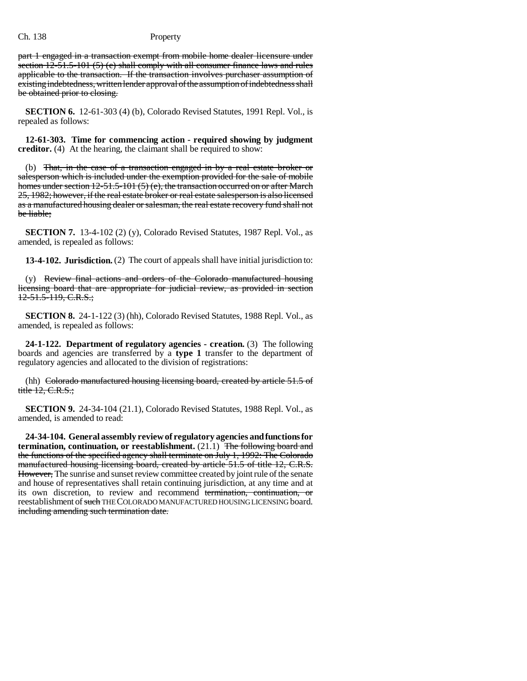part 1 engaged in a transaction exempt from mobile home dealer licensure under section  $12-51.5-101(5)$  (e) shall comply with all consumer finance laws and rules applicable to the transaction. If the transaction involves purchaser assumption of existing indebtedness, written lender approval of the assumption of indebtedness shall be obtained prior to closing.

**SECTION 6.** 12-61-303 (4) (b), Colorado Revised Statutes, 1991 Repl. Vol., is repealed as follows:

**12-61-303. Time for commencing action - required showing by judgment creditor.** (4) At the hearing, the claimant shall be required to show:

(b) That, in the case of a transaction engaged in by a real estate broker or salesperson which is included under the exemption provided for the sale of mobile homes under section 12-51.5-101 (5) (e), the transaction occurred on or after March 25, 1982; however, if the real estate broker or real estate salesperson is also licensed as a manufactured housing dealer or salesman, the real estate recovery fund shall not be liable;

**SECTION 7.** 13-4-102 (2) (y), Colorado Revised Statutes, 1987 Repl. Vol., as amended, is repealed as follows:

**13-4-102. Jurisdiction.** (2) The court of appeals shall have initial jurisdiction to:

 $(y)$  Review final actions and orders of the Colorado manufactured housing licensing board that are appropriate for judicial review, as provided in section  $12-51.5-119$ , C.R.S.;

**SECTION 8.** 24-1-122 (3) (hh), Colorado Revised Statutes, 1988 Repl. Vol., as amended, is repealed as follows:

**24-1-122. Department of regulatory agencies - creation.** (3) The following boards and agencies are transferred by a **type 1** transfer to the department of regulatory agencies and allocated to the division of registrations:

(hh) Colorado manufactured housing licensing board, created by article 51.5 of title 12, C.R.S.;

**SECTION 9.** 24-34-104 (21.1), Colorado Revised Statutes, 1988 Repl. Vol., as amended, is amended to read:

**24-34-104. General assembly review of regulatory agencies and functions for termination, continuation, or reestablishment.** (21.1) The following board and the functions of the specified agency shall terminate on July 1, 1992: The Colorado manufactured housing licensing board, created by article 51.5 of title 12, C.R.S. However, The sunrise and sunset review committee created by joint rule of the senate and house of representatives shall retain continuing jurisdiction, at any time and at its own discretion, to review and recommend termination, continuation, or reestablishment of such THE COLORADO MANUFACTURED HOUSING LICENSING board. including amending such termination date.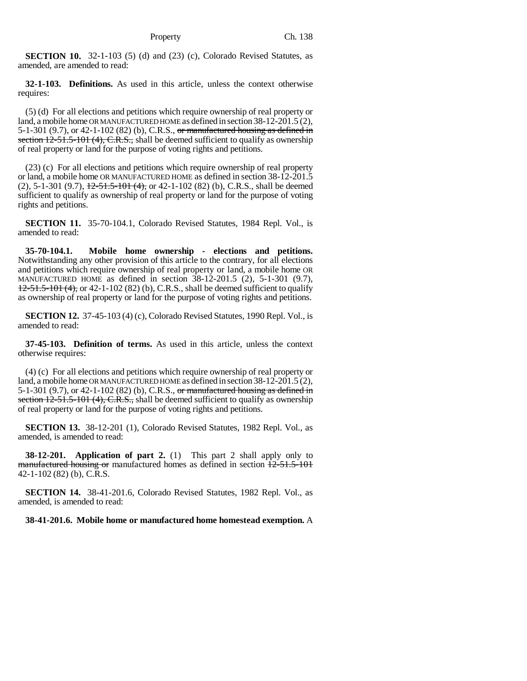**SECTION 10.** 32-1-103 (5) (d) and (23) (c), Colorado Revised Statutes, as amended, are amended to read:

**32-1-103. Definitions.** As used in this article, unless the context otherwise requires:

(5) (d) For all elections and petitions which require ownership of real property or land, a mobile home OR MANUFACTURED HOME as defined in section 38-12-201.5 (2), 5-1-301 (9.7), or 42-1-102 (82) (b), C.R.S., or manufactured housing as defined in section  $12-51.5-101$  (4), C.R.S., shall be deemed sufficient to qualify as ownership of real property or land for the purpose of voting rights and petitions.

(23) (c) For all elections and petitions which require ownership of real property or land, a mobile home OR MANUFACTURED HOME as defined in section 38-12-201.5  $(2)$ , 5-1-301  $(9.7)$ ,  $\frac{12-51.5-101(4)}{4}$ , or 42-1-102  $(82)$  (b), C.R.S., shall be deemed sufficient to qualify as ownership of real property or land for the purpose of voting rights and petitions.

**SECTION 11.** 35-70-104.1, Colorado Revised Statutes, 1984 Repl. Vol., is amended to read:

**35-70-104.1. Mobile home ownership - elections and petitions.** Notwithstanding any other provision of this article to the contrary, for all elections and petitions which require ownership of real property or land, a mobile home OR MANUFACTURED HOME as defined in section 38-12-201.5 (2), 5-1-301 (9.7), 12-51.5-101 (4), or 42-1-102 (82) (b), C.R.S., shall be deemed sufficient to qualify as ownership of real property or land for the purpose of voting rights and petitions.

**SECTION 12.** 37-45-103 (4) (c), Colorado Revised Statutes, 1990 Repl. Vol., is amended to read:

**37-45-103. Definition of terms.** As used in this article, unless the context otherwise requires:

(4) (c) For all elections and petitions which require ownership of real property or land, a mobile home OR MANUFACTURED HOME as defined in section 38-12-201.5 (2), 5-1-301 (9.7), or 42-1-102 (82) (b), C.R.S., or manufactured housing as defined in section 12-51.5-101 (4), C.R.S., shall be deemed sufficient to qualify as ownership of real property or land for the purpose of voting rights and petitions.

**SECTION 13.** 38-12-201 (1), Colorado Revised Statutes, 1982 Repl. Vol., as amended, is amended to read:

**38-12-201. Application of part 2.** (1) This part 2 shall apply only to manufactured housing or manufactured homes as defined in section  $12-51.5-101$ 42-1-102 (82) (b), C.R.S.

**SECTION 14.** 38-41-201.6, Colorado Revised Statutes, 1982 Repl. Vol., as amended, is amended to read:

**38-41-201.6. Mobile home or manufactured home homestead exemption.** A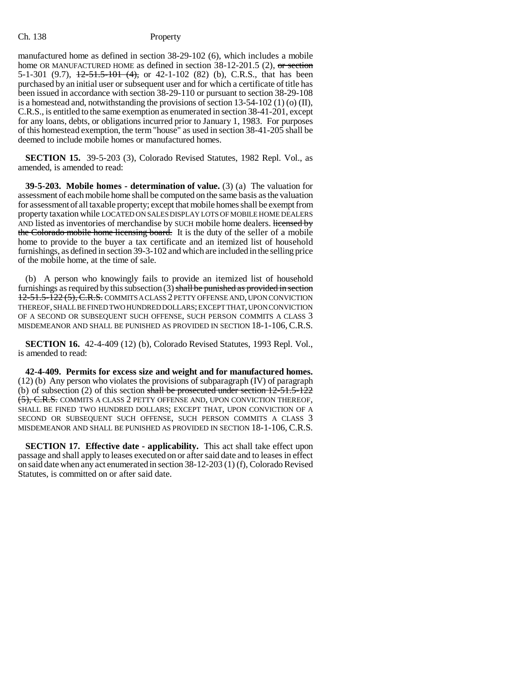manufactured home as defined in section 38-29-102 (6), which includes a mobile home OR MANUFACTURED HOME as defined in section  $38-12-201.5$  (2), or section 5-1-301 (9.7),  $\frac{12-51.5-101}{(4)}$ , or 42-1-102 (82) (b), C.R.S., that has been purchased by an initial user or subsequent user and for which a certificate of title has been issued in accordance with section 38-29-110 or pursuant to section 38-29-108 is a homestead and, notwithstanding the provisions of section 13-54-102 (1) (o) (II), C.R.S., is entitled to the same exemption as enumerated in section 38-41-201, except for any loans, debts, or obligations incurred prior to January 1, 1983. For purposes of this homestead exemption, the term "house" as used in section 38-41-205 shall be deemed to include mobile homes or manufactured homes.

**SECTION 15.** 39-5-203 (3), Colorado Revised Statutes, 1982 Repl. Vol., as amended, is amended to read:

**39-5-203. Mobile homes - determination of value.** (3) (a) The valuation for assessment of each mobile home shall be computed on the same basis as the valuation for assessment of all taxable property; except that mobile homes shall be exempt from property taxation while LOCATED ON SALES DISPLAY LOTS OF MOBILE HOME DEALERS AND listed as inventories of merchandise by SUCH mobile home dealers. Hicensed by the Colorado mobile home licensing board. It is the duty of the seller of a mobile home to provide to the buyer a tax certificate and an itemized list of household furnishings, as defined in section 39-3-102 and which are included in the selling price of the mobile home, at the time of sale.

(b) A person who knowingly fails to provide an itemized list of household furnishings as required by this subsection  $(3)$  shall be punished as provided in section 12-51.5-122 (5), C.R.S. COMMITS A CLASS 2 PETTY OFFENSE AND, UPON CONVICTION THEREOF, SHALL BE FINED TWO HUNDRED DOLLARS; EXCEPT THAT, UPON CONVICTION OF A SECOND OR SUBSEQUENT SUCH OFFENSE, SUCH PERSON COMMITS A CLASS 3 MISDEMEANOR AND SHALL BE PUNISHED AS PROVIDED IN SECTION 18-1-106, C.R.S.

**SECTION 16.** 42-4-409 (12) (b), Colorado Revised Statutes, 1993 Repl. Vol., is amended to read:

**42-4-409. Permits for excess size and weight and for manufactured homes.** (12) (b) Any person who violates the provisions of subparagraph (IV) of paragraph (b) of subsection (2) of this section shall be prosecuted under section  $12-51.5-122$ (5), C.R.S. COMMITS A CLASS 2 PETTY OFFENSE AND, UPON CONVICTION THEREOF, SHALL BE FINED TWO HUNDRED DOLLARS; EXCEPT THAT, UPON CONVICTION OF A SECOND OR SUBSEQUENT SUCH OFFENSE, SUCH PERSON COMMITS A CLASS 3 MISDEMEANOR AND SHALL BE PUNISHED AS PROVIDED IN SECTION 18-1-106, C.R.S.

**SECTION 17. Effective date - applicability.** This act shall take effect upon passage and shall apply to leases executed on or after said date and to leases in effect on said date when any act enumerated in section 38-12-203 (1) (f), Colorado Revised Statutes, is committed on or after said date.